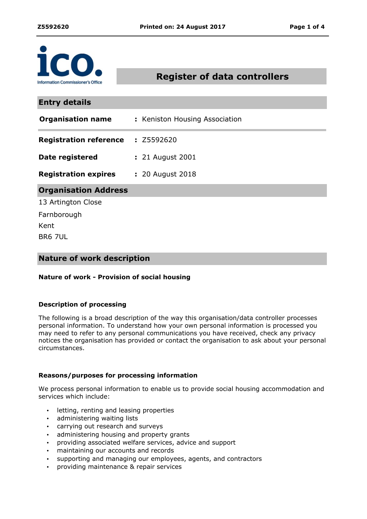

# **Register of data controllers**

| <b>Entry details</b>          |                                |
|-------------------------------|--------------------------------|
| <b>Organisation name</b>      | : Keniston Housing Association |
| <b>Registration reference</b> | : Z5592620                     |
| Date registered               | : 21 August 2001               |
| <b>Registration expires</b>   | : 20 August 2018               |
| <b>Organisation Address</b>   |                                |
| 13 Artington Close            |                                |
| Farnborough                   |                                |
| Kent                          |                                |
| <b>BR6 7UL</b>                |                                |

## **Nature of work description**

### **Nature of work - Provision of social housing**

### **Description of processing**

The following is a broad description of the way this organisation/data controller processes personal information. To understand how your own personal information is processed you may need to refer to any personal communications you have received, check any privacy notices the organisation has provided or contact the organisation to ask about your personal circumstances.

### **Reasons/purposes for processing information**

We process personal information to enable us to provide social housing accommodation and services which include:

- letting, renting and leasing properties
- administering waiting lists
- carrying out research and surveys
- administering housing and property grants
- providing associated welfare services, advice and support
- maintaining our accounts and records
- supporting and managing our employees, agents, and contractors
- providing maintenance & repair services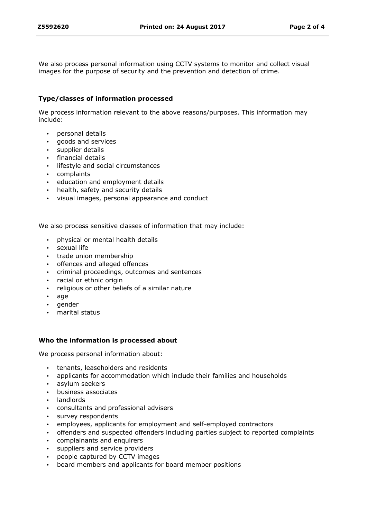We also process personal information using CCTV systems to monitor and collect visual images for the purpose of security and the prevention and detection of crime.

### **Type/classes of information processed**

We process information relevant to the above reasons/purposes. This information may include:

- personal details
- goods and services
- supplier details
- financial details
- **·** lifestyle and social circumstances
- complaints
- education and employment details
- health, safety and security details
- visual images, personal appearance and conduct

We also process sensitive classes of information that may include:

- physical or mental health details
- sexual life
- trade union membership
- offences and alleged offences
- criminal proceedings, outcomes and sentences
- racial or ethnic origin
- religious or other beliefs of a similar nature
- $\cdot$  age
- gender
- marital status

### **Who the information is processed about**

We process personal information about:

- tenants, leaseholders and residents
- applicants for accommodation which include their families and households
- asylum seekers
- business associates
- landlords
- consultants and professional advisers
- survey respondents
- employees, applicants for employment and self-employed contractors
- offenders and suspected offenders including parties subject to reported complaints
- complainants and enquirers
- suppliers and service providers
- people captured by CCTV images
- board members and applicants for board member positions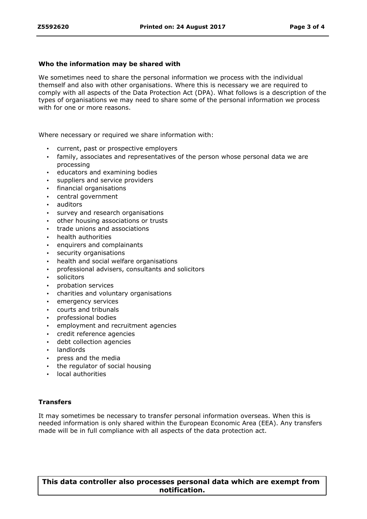#### **Who the information may be shared with**

We sometimes need to share the personal information we process with the individual themself and also with other organisations. Where this is necessary we are required to comply with all aspects of the Data Protection Act (DPA). What follows is a description of the types of organisations we may need to share some of the personal information we process with for one or more reasons.

Where necessary or required we share information with:

- current, past or prospective employers
- family, associates and representatives of the person whose personal data we are processing
- educators and examining bodies
- suppliers and service providers
- financial organisations
- central government
- auditors
- survey and research organisations
- other housing associations or trusts
- trade unions and associations
- health authorities
- enquirers and complainants
- security organisations
- health and social welfare organisations
- professional advisers, consultants and solicitors
- solicitors
- probation services
- charities and voluntary organisations
- emergency services
- courts and tribunals
- professional bodies
- employment and recruitment agencies
- credit reference agencies
- debt collection agencies
- landlords
- press and the media
- the regulator of social housing
- local authorities

### **Transfers**

It may sometimes be necessary to transfer personal information overseas. When this is needed information is only shared within the European Economic Area (EEA). Any transfers made will be in full compliance with all aspects of the data protection act.

**This data controller also processes personal data which are exempt from notification.**